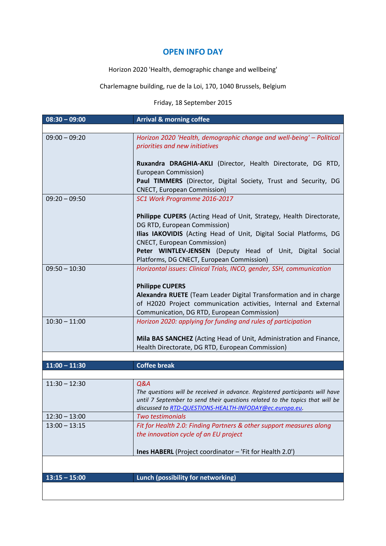# **OPEN INFO DAY**

Horizon 2020 'Health, demographic change and wellbeing'

Charlemagne building, rue de la Loi, 170, 1040 Brussels, Belgium

# Friday, 18 September 2015

| $08:30 - 09:00$ | <b>Arrival &amp; morning coffee</b>                                                                      |  |  |
|-----------------|----------------------------------------------------------------------------------------------------------|--|--|
|                 |                                                                                                          |  |  |
| $09:00 - 09:20$ | Horizon 2020 'Health, demographic change and well-being' - Political<br>priorities and new initiatives   |  |  |
|                 | Ruxandra DRAGHIA-AKLI (Director, Health Directorate, DG RTD,<br>European Commission)                     |  |  |
|                 | Paul TIMMERS (Director, Digital Society, Trust and Security, DG<br><b>CNECT, European Commission)</b>    |  |  |
| $09:20 - 09:50$ | SC1 Work Programme 2016-2017                                                                             |  |  |
|                 | Philippe CUPERS (Acting Head of Unit, Strategy, Health Directorate,<br>DG RTD, European Commission)      |  |  |
|                 | Ilias IAKOVIDIS (Acting Head of Unit, Digital Social Platforms, DG<br><b>CNECT, European Commission)</b> |  |  |
|                 | Peter WINTLEV-JENSEN (Deputy Head of Unit, Digital Social<br>Platforms, DG CNECT, European Commission)   |  |  |
| $09:50 - 10:30$ | Horizontal issues: Clinical Trials, INCO, gender, SSH, communication                                     |  |  |
|                 | <b>Philippe CUPERS</b>                                                                                   |  |  |
|                 | Alexandra RUETE (Team Leader Digital Transformation and in charge                                        |  |  |
|                 | of H2020 Project communication activities, Internal and External                                         |  |  |
|                 | Communication, DG RTD, European Commission)                                                              |  |  |
| $10:30 - 11:00$ | Horizon 2020: applying for funding and rules of participation                                            |  |  |
|                 | Mila BAS SANCHEZ (Acting Head of Unit, Administration and Finance,                                       |  |  |
|                 | Health Directorate, DG RTD, European Commission)                                                         |  |  |
|                 |                                                                                                          |  |  |
| $11:00 - 11:30$ | <b>Coffee break</b>                                                                                      |  |  |
|                 |                                                                                                          |  |  |
| $11:30 - 12:30$ | Q&A<br>The questions will be received in advance. Registered participants will have                      |  |  |
|                 | until 7 September to send their questions related to the topics that will be                             |  |  |
|                 | discussed to RTD-QUESTIONS-HEALTH-INFODAY@ec.europa.eu.                                                  |  |  |
| $12:30 - 13:00$ | Two testimonials                                                                                         |  |  |
| $13:00 - 13:15$ | Fit for Health 2.0: Finding Partners & other support measures along                                      |  |  |
|                 | the innovation cycle of an EU project                                                                    |  |  |
|                 | Ines HABERL (Project coordinator - 'Fit for Health 2.0')                                                 |  |  |
|                 |                                                                                                          |  |  |
| $13:15 - 15:00$ | Lunch (possibility for networking)                                                                       |  |  |
|                 |                                                                                                          |  |  |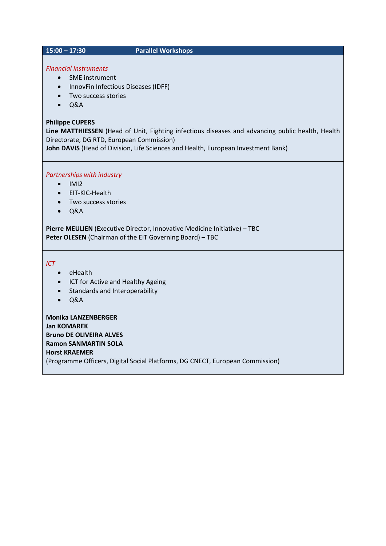#### **15:00 – 17:30****Parallel Workshops**

# *Financial instruments*

#### • SME instrument

- InnovFin Infectious Diseases (IDFF)
- Two success stories
- $\bullet$  Q&A

### **Philippe CUPERS**

**Line MATTHIESSEN** (Head of Unit, Fighting infectious diseases and advancing public health, Health Directorate, DG RTD, European Commission)

**John DAVIS** (Head of Division, Life Sciences and Health, European Investment Bank)

### *Partnerships with industry*

- $\bullet$  IMI2
- EIT-KIC-Health
- Two success stories
- $\bullet$  Q&A

**Pierre MEULIEN** (Executive Director, Innovative Medicine Initiative) – TBC **Peter OLESEN** (Chairman of the EIT Governing Board) – TBC

*ICT*

- eHealth
- ICT for Active and Healthy Ageing
- Standards and Interoperability
- $\bullet$  Q&A

**Monika LANZENBERGER Jan KOMAREK Bruno DE OLIVEIRA ALVES Ramon SANMARTIN SOLA Horst KRAEMER** (Programme Officers, Digital Social Platforms, DG CNECT, European Commission)